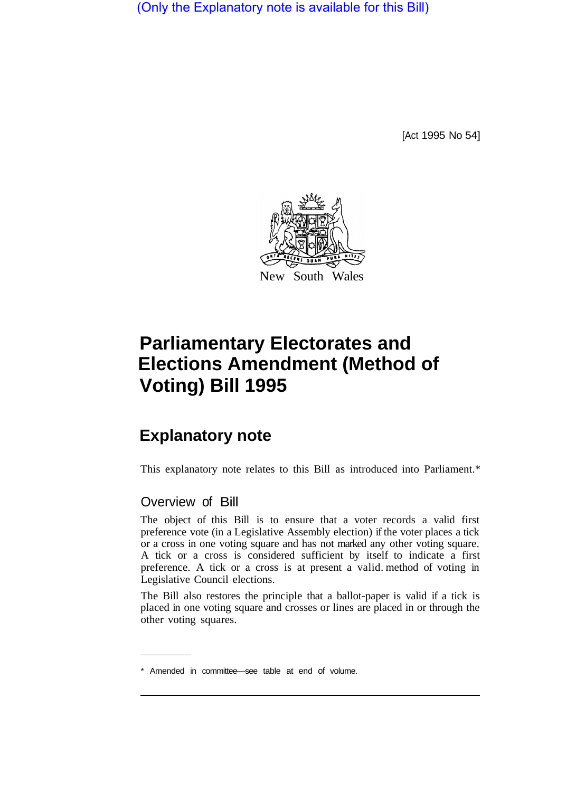(Only the Explanatory note is available for this Bill)

[Act 1995 No 54]



## **Parliamentary Electorates and Elections Amendment (Method of Voting) Bill 1995**

## **Explanatory note**

This explanatory note relates to this Bill as introduced into Parliament.\*

## Overview of Bill

The object of this Bill is to ensure that a voter records a valid first preference vote (in a Legislative Assembly election) if the voter places a tick or a cross in one voting square and has not marked any other voting square. A tick or a cross is considered sufficient by itself to indicate a first preference. A tick or a cross is at present a valid. method of voting in Legislative Council elections.

The Bill also restores the principle that a ballot-paper is valid if a tick is placed in one voting square and crosses or lines are placed in or through the other voting squares.

<sup>\*</sup> Amended in committee—see table at end of volume.